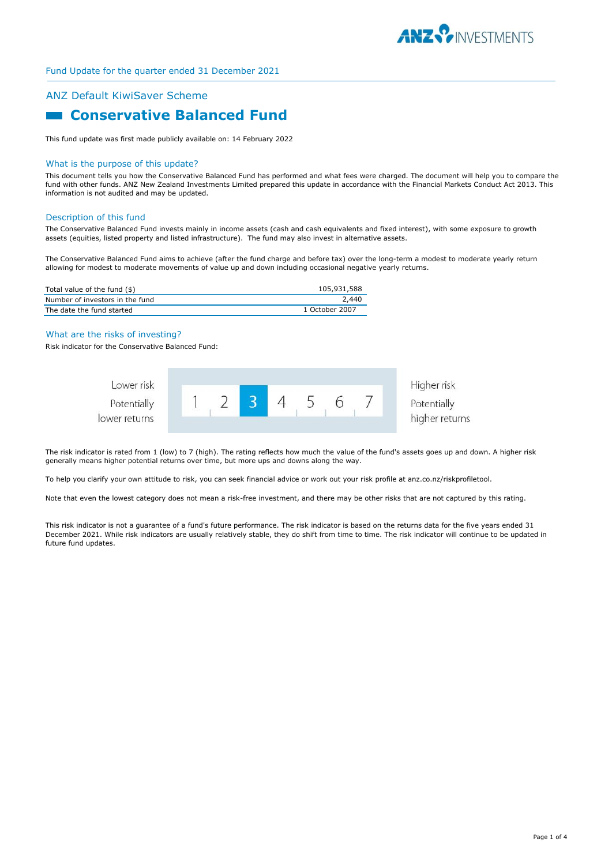

# ANZ Default KiwiSaver Scheme

# **Conservative Balanced Fund**

This fund update was first made publicly available on: 14 February 2022

#### What is the purpose of this update?

This document tells you how the Conservative Balanced Fund has performed and what fees were charged. The document will help you to compare the fund with other funds. ANZ New Zealand Investments Limited prepared this update in accordance with the Financial Markets Conduct Act 2013. This information is not audited and may be updated.

## Description of this fund

The Conservative Balanced Fund invests mainly in income assets (cash and cash equivalents and fixed interest), with some exposure to growth assets (equities, listed property and listed infrastructure). The fund may also invest in alternative assets.

The Conservative Balanced Fund aims to achieve (after the fund charge and before tax) over the long-term a modest to moderate yearly return allowing for modest to moderate movements of value up and down including occasional negative yearly returns.

| Total value of the fund (\$)    | 105,931,588    |
|---------------------------------|----------------|
| Number of investors in the fund | 2,440          |
| The date the fund started       | 1 October 2007 |

#### What are the risks of investing?

Risk indicator for the Conservative Balanced Fund:



The risk indicator is rated from 1 (low) to 7 (high). The rating reflects how much the value of the fund's assets goes up and down. A higher risk generally means higher potential returns over time, but more ups and downs along the way.

To help you clarify your own attitude to risk, you can seek financial advice or work out your risk profile at anz.co.nz/riskprofiletool.

Note that even the lowest category does not mean a risk-free investment, and there may be other risks that are not captured by this rating.

This risk indicator is not a guarantee of a fund's future performance. The risk indicator is based on the returns data for the five years ended 31 December 2021. While risk indicators are usually relatively stable, they do shift from time to time. The risk indicator will continue to be updated in future fund updates.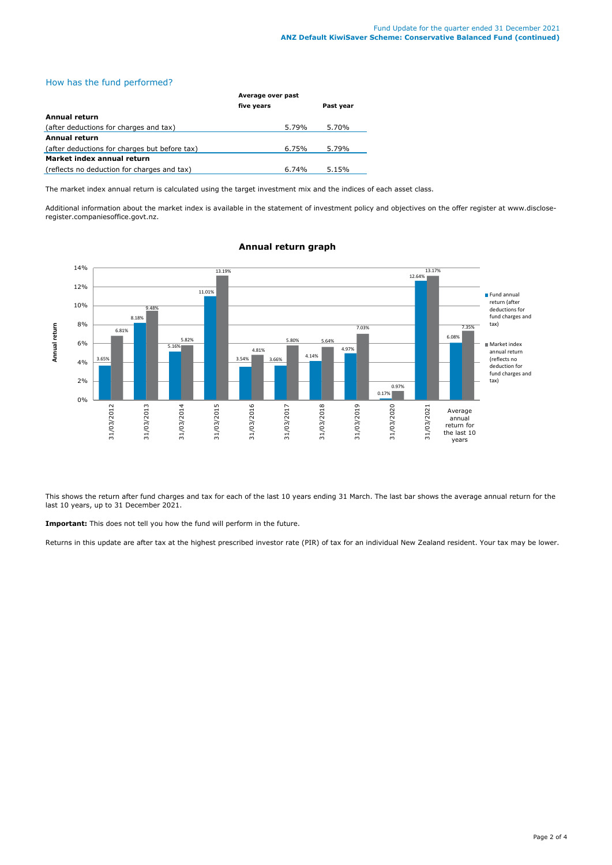# How has the fund performed?

|                                               | Average over past |           |  |
|-----------------------------------------------|-------------------|-----------|--|
|                                               | five years        | Past year |  |
| Annual return                                 |                   |           |  |
| (after deductions for charges and tax)        | 5.79%             | 5.70%     |  |
| <b>Annual return</b>                          |                   |           |  |
| (after deductions for charges but before tax) | 6.75%             | 5.79%     |  |
| Market index annual return                    |                   |           |  |
| (reflects no deduction for charges and tax)   | $6.74\%$          | 5.15%     |  |

The market index annual return is calculated using the target investment mix and the indices of each asset class.

Additional information about the market index is available in the statement of investment policy and objectives on the offer register at www.discloseregister.companiesoffice.govt.nz.



# **Annual return graph**

This shows the return after fund charges and tax for each of the last 10 years ending 31 March. The last bar shows the average annual return for the last 10 years, up to 31 December 2021.

**Important:** This does not tell you how the fund will perform in the future.

Returns in this update are after tax at the highest prescribed investor rate (PIR) of tax for an individual New Zealand resident. Your tax may be lower.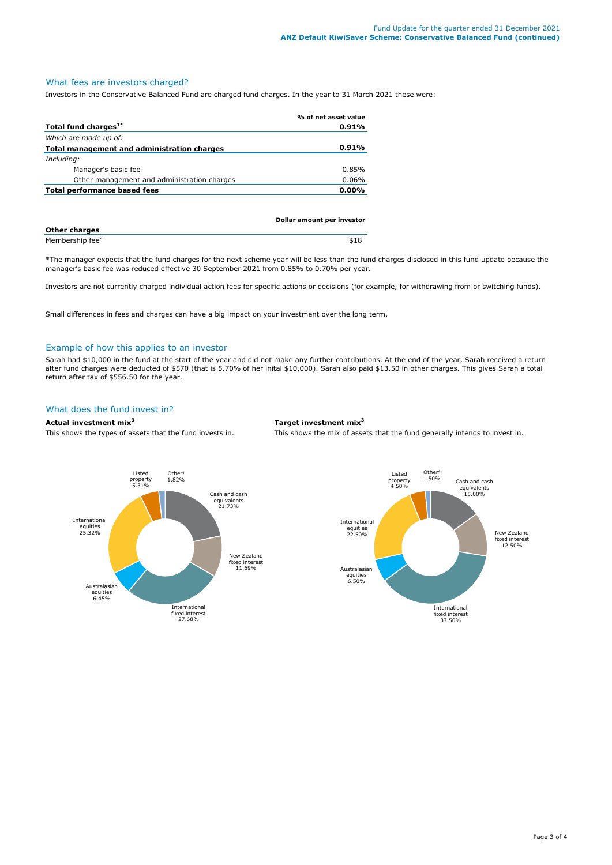## What fees are investors charged?

Investors in the Conservative Balanced Fund are charged fund charges. In the year to 31 March 2021 these were:

|                                             | % of net asset value |
|---------------------------------------------|----------------------|
| Total fund charges <sup>1*</sup>            | 0.91%                |
| Which are made up of:                       |                      |
| Total management and administration charges | $0.91\%$             |
| Including:                                  |                      |
| Manager's basic fee                         | 0.85%                |
| Other management and administration charges | 0.06%                |
| <b>Total performance based fees</b>         | $0.00\%$             |
|                                             |                      |

|                             | Dollar amount per investor |  |
|-----------------------------|----------------------------|--|
| <b>Other charges</b>        |                            |  |
| Membership fee <sup>2</sup> | \$18                       |  |

\*The manager expects that the fund charges for the next scheme year will be less than the fund charges disclosed in this fund update because the manager's basic fee was reduced effective 30 September 2021 from 0.85% to 0.70% per year.

Investors are not currently charged individual action fees for specific actions or decisions (for example, for withdrawing from or switching funds).

Small differences in fees and charges can have a big impact on your investment over the long term.

#### Example of how this applies to an investor

Sarah had \$10,000 in the fund at the start of the year and did not make any further contributions. At the end of the year, Sarah received a return after fund charges were deducted of \$570 (that is 5.70% of her inital \$10,000). Sarah also paid \$13.50 in other charges. This gives Sarah a total return after tax of \$556.50 for the year.

## What does the fund invest in?

## **Actual investment mix<sup>3</sup> Target investment mix<sup>3</sup>**

This shows the types of assets that the fund invests in. This shows the mix of assets that the fund generally intends to invest in.